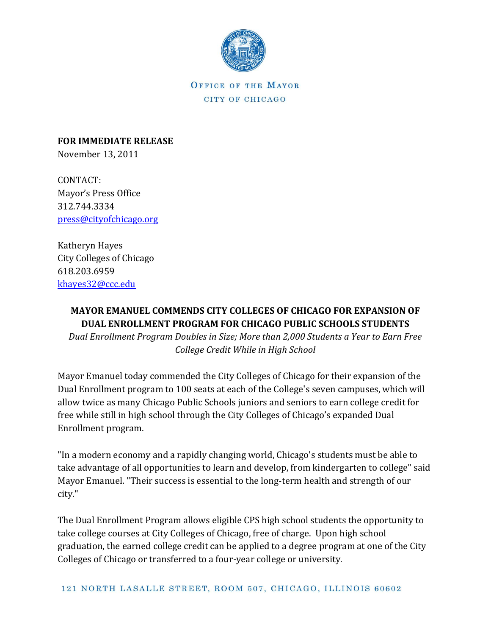

OFFICE OF THE MAYOR CITY OF CHICAGO

**FOR IMMEDIATE RELEASE** November 13, 2011

CONTACT: Mayor's Press Office 312.744.3334 [press@cityofchicago.org](mailto:press@cityofchicago.org)

Katheryn Hayes City Colleges of Chicago 618.203.6959 [khayes32@ccc.edu](mailto:khayes32@ccc.edu)

## **MAYOR EMANUEL COMMENDS CITY COLLEGES OF CHICAGO FOR EXPANSION OF DUAL ENROLLMENT PROGRAM FOR CHICAGO PUBLIC SCHOOLS STUDENTS**

*Dual Enrollment Program Doubles in Size; More than 2,000 Students a Year to Earn Free College Credit While in High School*

Mayor Emanuel today commended the City Colleges of Chicago for their expansion of the Dual Enrollment program to 100 seats at each of the College's seven campuses, which will allow twice as many Chicago Public Schools juniors and seniors to earn college credit for free while still in high school through the City Colleges of Chicago's expanded Dual Enrollment program.

"In a modern economy and a rapidly changing world, Chicago's students must be able to take advantage of all opportunities to learn and develop, from kindergarten to college" said Mayor Emanuel. "Their success is essential to the long-term health and strength of our city."

The Dual Enrollment Program allows eligible CPS high school students the opportunity to take college courses at City Colleges of Chicago, free of charge. Upon high school graduation, the earned college credit can be applied to a degree program at one of the City Colleges of Chicago or transferred to a four-year college or university.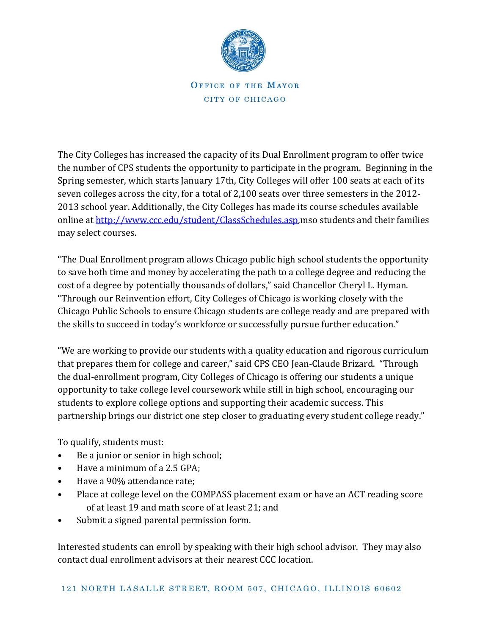

OFFICE OF THE MAYOR CITY OF CHICAGO

The City Colleges has increased the capacity of its Dual Enrollment program to offer twice the number of CPS students the opportunity to participate in the program. Beginning in the Spring semester, which starts January 17th, City Colleges will offer 100 seats at each of its seven colleges across the city, for a total of 2,100 seats over three semesters in the 2012- 2013 school year. Additionally, the City Colleges has made its course schedules available online at [http://www.ccc.edu/student/ClassSchedules.asp,](http://www.ccc.edu/student/ClassSchedules.asp)mso students and their families may select courses.

"The Dual Enrollment program allows Chicago public high school students the opportunity to save both time and money by accelerating the path to a college degree and reducing the cost of a degree by potentially thousands of dollars," said Chancellor Cheryl L. Hyman. "Through our Reinvention effort, City Colleges of Chicago is working closely with the Chicago Public Schools to ensure Chicago students are college ready and are prepared with the skills to succeed in today's workforce or successfully pursue further education."

"We are working to provide our students with a quality education and rigorous curriculum that prepares them for college and career," said CPS CEO Jean-Claude Brizard. "Through the dual-enrollment program, City Colleges of Chicago is offering our students a unique opportunity to take college level coursework while still in high school, encouraging our students to explore college options and supporting their academic success. This partnership brings our district one step closer to graduating every student college ready."

To qualify, students must:

- Be a junior or senior in high school;
- Have a minimum of a 2.5 GPA;
- Have a 90% attendance rate;
- Place at college level on the COMPASS placement exam or have an ACT reading score of at least 19 and math score of at least 21; and
- Submit a signed parental permission form.

Interested students can enroll by speaking with their high school advisor. They may also contact dual enrollment advisors at their nearest CCC location.